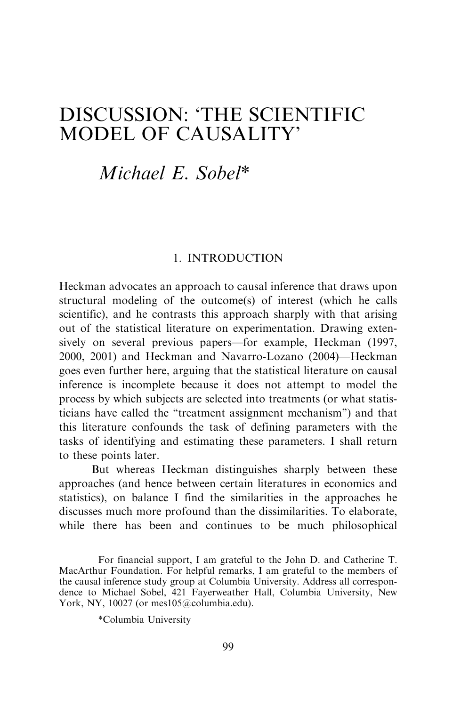# DISCUSSION: 'THE SCIENTIFIC MODEL OF CAUSALITY'

## Michael E. Sobel\*

#### 1. INTRODUCTION

Heckman advocates an approach to causal inference that draws upon structural modeling of the outcome(s) of interest (which he calls scientific), and he contrasts this approach sharply with that arising out of the statistical literature on experimentation. Drawing extensively on several previous papers—for example, Heckman (1997, 2000, 2001) and Heckman and Navarro-Lozano (2004)—Heckman goes even further here, arguing that the statistical literature on causal inference is incomplete because it does not attempt to model the process by which subjects are selected into treatments (or what statisticians have called the ''treatment assignment mechanism'') and that this literature confounds the task of defining parameters with the tasks of identifying and estimating these parameters. I shall return to these points later.

But whereas Heckman distinguishes sharply between these approaches (and hence between certain literatures in economics and statistics), on balance I find the similarities in the approaches he discusses much more profound than the dissimilarities. To elaborate, while there has been and continues to be much philosophical

For financial support, I am grateful to the John D. and Catherine T. MacArthur Foundation. For helpful remarks, I am grateful to the members of the causal inference study group at Columbia University. Address all correspondence to Michael Sobel, 421 Fayerweather Hall, Columbia University, New York, NY, 10027 (or mes105@columbia.edu).

\*Columbia University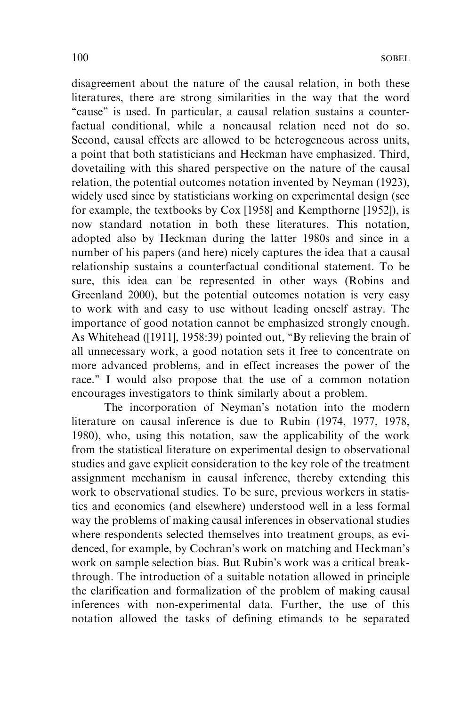disagreement about the nature of the causal relation, in both these literatures, there are strong similarities in the way that the word "cause" is used. In particular, a causal relation sustains a counterfactual conditional, while a noncausal relation need not do so. Second, causal effects are allowed to be heterogeneous across units, a point that both statisticians and Heckman have emphasized. Third, dovetailing with this shared perspective on the nature of the causal relation, the potential outcomes notation invented by Neyman (1923), widely used since by statisticians working on experimental design (see for example, the textbooks by Cox [1958] and Kempthorne [1952]), is now standard notation in both these literatures. This notation, adopted also by Heckman during the latter 1980s and since in a number of his papers (and here) nicely captures the idea that a causal relationship sustains a counterfactual conditional statement. To be sure, this idea can be represented in other ways (Robins and Greenland 2000), but the potential outcomes notation is very easy to work with and easy to use without leading oneself astray. The importance of good notation cannot be emphasized strongly enough. As Whitehead ([1911], 1958:39) pointed out, ''By relieving the brain of all unnecessary work, a good notation sets it free to concentrate on more advanced problems, and in effect increases the power of the race.'' I would also propose that the use of a common notation encourages investigators to think similarly about a problem.

The incorporation of Neyman's notation into the modern literature on causal inference is due to Rubin (1974, 1977, 1978, 1980), who, using this notation, saw the applicability of the work from the statistical literature on experimental design to observational studies and gave explicit consideration to the key role of the treatment assignment mechanism in causal inference, thereby extending this work to observational studies. To be sure, previous workers in statistics and economics (and elsewhere) understood well in a less formal way the problems of making causal inferences in observational studies where respondents selected themselves into treatment groups, as evidenced, for example, by Cochran's work on matching and Heckman's work on sample selection bias. But Rubin's work was a critical breakthrough. The introduction of a suitable notation allowed in principle the clarification and formalization of the problem of making causal inferences with non-experimental data. Further, the use of this notation allowed the tasks of defining etimands to be separated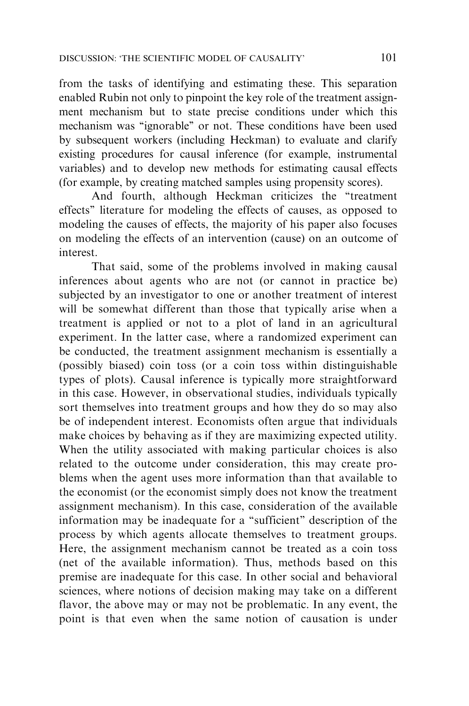from the tasks of identifying and estimating these. This separation enabled Rubin not only to pinpoint the key role of the treatment assignment mechanism but to state precise conditions under which this mechanism was ''ignorable'' or not. These conditions have been used by subsequent workers (including Heckman) to evaluate and clarify existing procedures for causal inference (for example, instrumental variables) and to develop new methods for estimating causal effects (for example, by creating matched samples using propensity scores).

And fourth, although Heckman criticizes the "treatment" effects'' literature for modeling the effects of causes, as opposed to modeling the causes of effects, the majority of his paper also focuses on modeling the effects of an intervention (cause) on an outcome of interest.

That said, some of the problems involved in making causal inferences about agents who are not (or cannot in practice be) subjected by an investigator to one or another treatment of interest will be somewhat different than those that typically arise when a treatment is applied or not to a plot of land in an agricultural experiment. In the latter case, where a randomized experiment can be conducted, the treatment assignment mechanism is essentially a (possibly biased) coin toss (or a coin toss within distinguishable types of plots). Causal inference is typically more straightforward in this case. However, in observational studies, individuals typically sort themselves into treatment groups and how they do so may also be of independent interest. Economists often argue that individuals make choices by behaving as if they are maximizing expected utility. When the utility associated with making particular choices is also related to the outcome under consideration, this may create problems when the agent uses more information than that available to the economist (or the economist simply does not know the treatment assignment mechanism). In this case, consideration of the available information may be inadequate for a ''sufficient'' description of the process by which agents allocate themselves to treatment groups. Here, the assignment mechanism cannot be treated as a coin toss (net of the available information). Thus, methods based on this premise are inadequate for this case. In other social and behavioral sciences, where notions of decision making may take on a different flavor, the above may or may not be problematic. In any event, the point is that even when the same notion of causation is under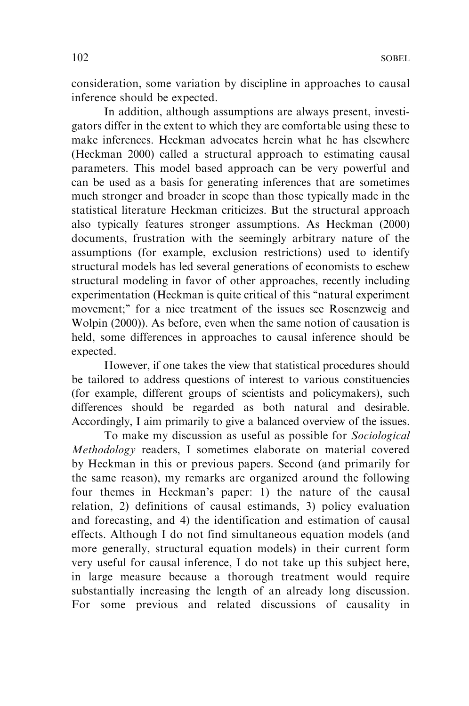consideration, some variation by discipline in approaches to causal inference should be expected.

In addition, although assumptions are always present, investigators differ in the extent to which they are comfortable using these to make inferences. Heckman advocates herein what he has elsewhere (Heckman 2000) called a structural approach to estimating causal parameters. This model based approach can be very powerful and can be used as a basis for generating inferences that are sometimes much stronger and broader in scope than those typically made in the statistical literature Heckman criticizes. But the structural approach also typically features stronger assumptions. As Heckman (2000) documents, frustration with the seemingly arbitrary nature of the assumptions (for example, exclusion restrictions) used to identify structural models has led several generations of economists to eschew structural modeling in favor of other approaches, recently including experimentation (Heckman is quite critical of this ''natural experiment movement;'' for a nice treatment of the issues see Rosenzweig and Wolpin (2000)). As before, even when the same notion of causation is held, some differences in approaches to causal inference should be expected.

However, if one takes the view that statistical procedures should be tailored to address questions of interest to various constituencies (for example, different groups of scientists and policymakers), such differences should be regarded as both natural and desirable. Accordingly, I aim primarily to give a balanced overview of the issues.

To make my discussion as useful as possible for Sociological Methodology readers, I sometimes elaborate on material covered by Heckman in this or previous papers. Second (and primarily for the same reason), my remarks are organized around the following four themes in Heckman's paper: 1) the nature of the causal relation, 2) definitions of causal estimands, 3) policy evaluation and forecasting, and 4) the identification and estimation of causal effects. Although I do not find simultaneous equation models (and more generally, structural equation models) in their current form very useful for causal inference, I do not take up this subject here, in large measure because a thorough treatment would require substantially increasing the length of an already long discussion. For some previous and related discussions of causality in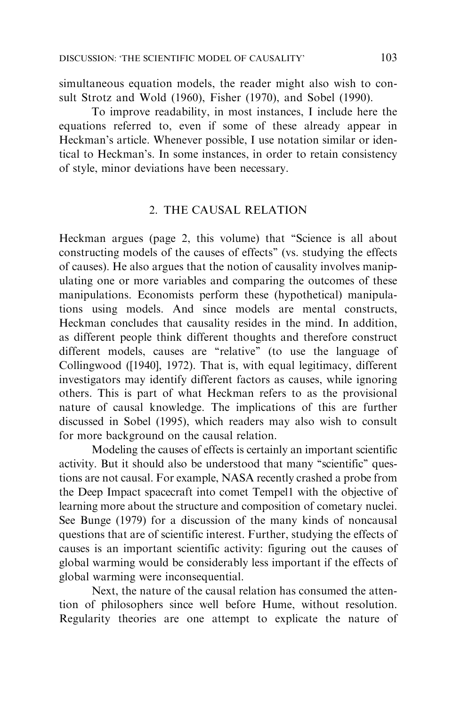simultaneous equation models, the reader might also wish to consult Strotz and Wold (1960), Fisher (1970), and Sobel (1990).

To improve readability, in most instances, I include here the equations referred to, even if some of these already appear in Heckman's article. Whenever possible, I use notation similar or identical to Heckman's. In some instances, in order to retain consistency of style, minor deviations have been necessary.

#### 2. THE CAUSAL RELATION

Heckman argues (page 2, this volume) that ''Science is all about constructing models of the causes of effects'' (vs. studying the effects of causes). He also argues that the notion of causality involves manipulating one or more variables and comparing the outcomes of these manipulations. Economists perform these (hypothetical) manipulations using models. And since models are mental constructs, Heckman concludes that causality resides in the mind. In addition, as different people think different thoughts and therefore construct different models, causes are "relative" (to use the language of Collingwood ([1940], 1972). That is, with equal legitimacy, different investigators may identify different factors as causes, while ignoring others. This is part of what Heckman refers to as the provisional nature of causal knowledge. The implications of this are further discussed in Sobel (1995), which readers may also wish to consult for more background on the causal relation.

Modeling the causes of effects is certainly an important scientific activity. But it should also be understood that many ''scientific'' questions are not causal. For example, NASA recently crashed a probe from the Deep Impact spacecraft into comet Tempel1 with the objective of learning more about the structure and composition of cometary nuclei. See Bunge (1979) for a discussion of the many kinds of noncausal questions that are of scientific interest. Further, studying the effects of causes is an important scientific activity: figuring out the causes of global warming would be considerably less important if the effects of global warming were inconsequential.

Next, the nature of the causal relation has consumed the attention of philosophers since well before Hume, without resolution. Regularity theories are one attempt to explicate the nature of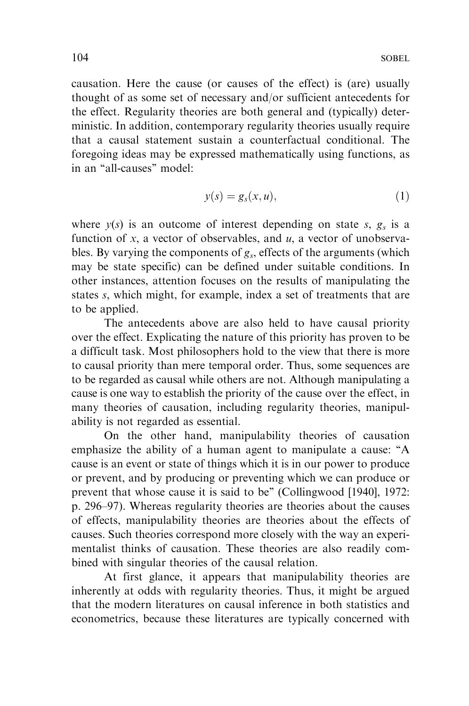causation. Here the cause (or causes of the effect) is (are) usually thought of as some set of necessary and/or sufficient antecedents for the effect. Regularity theories are both general and (typically) deterministic. In addition, contemporary regularity theories usually require that a causal statement sustain a counterfactual conditional. The foregoing ideas may be expressed mathematically using functions, as in an ''all-causes'' model:

$$
y(s) = g_s(x, u), \tag{1}
$$

where  $y(s)$  is an outcome of interest depending on state s,  $g_s$  is a function of x, a vector of observables, and  $u$ , a vector of unobservables. By varying the components of  $g_s$ , effects of the arguments (which may be state specific) can be defined under suitable conditions. In other instances, attention focuses on the results of manipulating the states s, which might, for example, index a set of treatments that are to be applied.

The antecedents above are also held to have causal priority over the effect. Explicating the nature of this priority has proven to be a difficult task. Most philosophers hold to the view that there is more to causal priority than mere temporal order. Thus, some sequences are to be regarded as causal while others are not. Although manipulating a cause is one way to establish the priority of the cause over the effect, in many theories of causation, including regularity theories, manipulability is not regarded as essential.

On the other hand, manipulability theories of causation emphasize the ability of a human agent to manipulate a cause: ''A cause is an event or state of things which it is in our power to produce or prevent, and by producing or preventing which we can produce or prevent that whose cause it is said to be'' (Collingwood [1940], 1972: p. 296–97). Whereas regularity theories are theories about the causes of effects, manipulability theories are theories about the effects of causes. Such theories correspond more closely with the way an experimentalist thinks of causation. These theories are also readily combined with singular theories of the causal relation.

At first glance, it appears that manipulability theories are inherently at odds with regularity theories. Thus, it might be argued that the modern literatures on causal inference in both statistics and econometrics, because these literatures are typically concerned with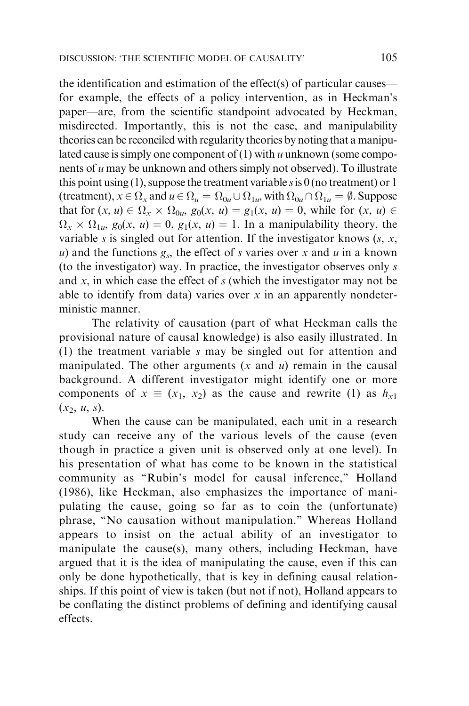the identification and estimation of the effect(s) of particular causes for example, the effects of a policy intervention, as in Heckman's paper—are, from the scientific standpoint advocated by Heckman, misdirected. Importantly, this is not the case, and manipulability theories can be reconciled with regularity theories by noting that a manipulated cause is simply one component of  $(1)$  with u unknown (some components of  $u$  may be unknown and others simply not observed). To illustrate this point using (1), suppose the treatment variable s is 0 (no treatment) or 1 (treatment),  $x \in \Omega_x$  and  $u \in \Omega_u = \Omega_{0u} \cup \Omega_{1u}$ , with  $\Omega_{0u} \cap \Omega_{1u} = \emptyset$ . Suppose that for  $(x, u) \in \Omega_x \times \Omega_{0u}$ ,  $g_0(x, u) = g_1(x, u) = 0$ , while for  $(x, u) \in$  $\Omega_x \times \Omega_{1u}$ ,  $g_0(x, u) = 0$ ,  $g_1(x, u) = 1$ . In a manipulability theory, the variable s is singled out for attention. If the investigator knows  $(s, x, z)$ u) and the functions  $g_s$ , the effect of s varies over x and u in a known (to the investigator) way. In practice, the investigator observes only s and x, in which case the effect of s (which the investigator may not be able to identify from data) varies over  $x$  in an apparently nondeterministic manner.

The relativity of causation (part of what Heckman calls the provisional nature of causal knowledge) is also easily illustrated. In (1) the treatment variable s may be singled out for attention and manipulated. The other arguments  $(x \text{ and } u)$  remain in the causal background. A different investigator might identify one or more components of  $x \equiv (x_1, x_2)$  as the cause and rewrite (1) as  $h_{x1}$  $(x_2, u, s)$ .

When the cause can be manipulated, each unit in a research study can receive any of the various levels of the cause (even though in practice a given unit is observed only at one level). In his presentation of what has come to be known in the statistical community as ''Rubin's model for causal inference,'' Holland (1986), like Heckman, also emphasizes the importance of manipulating the cause, going so far as to coin the (unfortunate) phrase, ''No causation without manipulation.'' Whereas Holland appears to insist on the actual ability of an investigator to manipulate the cause(s), many others, including Heckman, have argued that it is the idea of manipulating the cause, even if this can only be done hypothetically, that is key in defining causal relationships. If this point of view is taken (but not if not), Holland appears to be conflating the distinct problems of defining and identifying causal effects.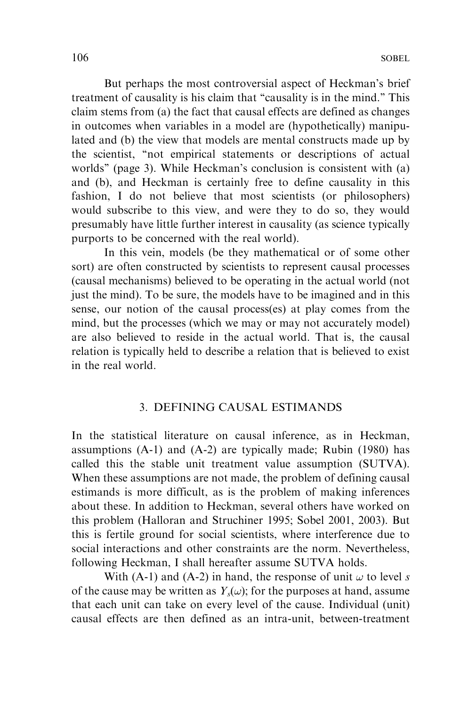But perhaps the most controversial aspect of Heckman's brief treatment of causality is his claim that "causality is in the mind." This claim stems from (a) the fact that causal effects are defined as changes in outcomes when variables in a model are (hypothetically) manipulated and (b) the view that models are mental constructs made up by the scientist, ''not empirical statements or descriptions of actual worlds'' (page 3). While Heckman's conclusion is consistent with (a) and (b), and Heckman is certainly free to define causality in this fashion, I do not believe that most scientists (or philosophers) would subscribe to this view, and were they to do so, they would presumably have little further interest in causality (as science typically purports to be concerned with the real world).

In this vein, models (be they mathematical or of some other sort) are often constructed by scientists to represent causal processes (causal mechanisms) believed to be operating in the actual world (not just the mind). To be sure, the models have to be imagined and in this sense, our notion of the causal process(es) at play comes from the mind, but the processes (which we may or may not accurately model) are also believed to reside in the actual world. That is, the causal relation is typically held to describe a relation that is believed to exist in the real world.

## 3. DEFINING CAUSAL ESTIMANDS

In the statistical literature on causal inference, as in Heckman, assumptions (A-1) and (A-2) are typically made; Rubin (1980) has called this the stable unit treatment value assumption (SUTVA). When these assumptions are not made, the problem of defining causal estimands is more difficult, as is the problem of making inferences about these. In addition to Heckman, several others have worked on this problem (Halloran and Struchiner 1995; Sobel 2001, 2003). But this is fertile ground for social scientists, where interference due to social interactions and other constraints are the norm. Nevertheless, following Heckman, I shall hereafter assume SUTVA holds.

With (A-1) and (A-2) in hand, the response of unit  $\omega$  to level s of the cause may be written as  $Y_s(\omega)$ ; for the purposes at hand, assume that each unit can take on every level of the cause. Individual (unit) causal effects are then defined as an intra-unit, between-treatment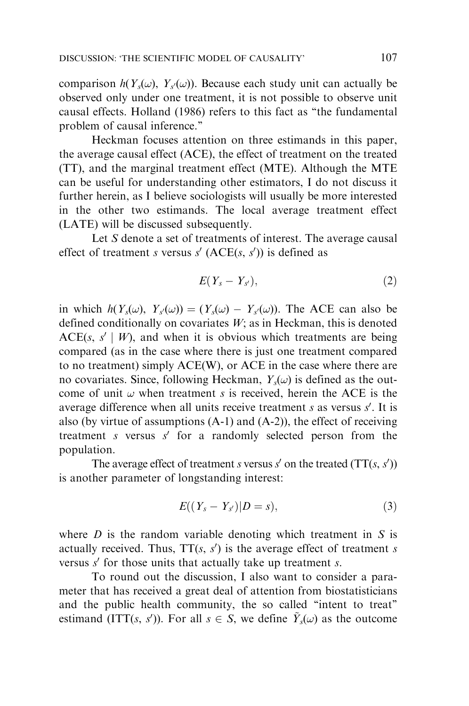comparison  $h(Y_s(\omega), Y_s(\omega))$ . Because each study unit can actually be observed only under one treatment, it is not possible to observe unit causal effects. Holland (1986) refers to this fact as ''the fundamental problem of causal inference.''

Heckman focuses attention on three estimands in this paper, the average causal effect (ACE), the effect of treatment on the treated (TT), and the marginal treatment effect (MTE). Although the MTE can be useful for understanding other estimators, I do not discuss it further herein, as I believe sociologists will usually be more interested in the other two estimands. The local average treatment effect (LATE) will be discussed subsequently.

Let S denote a set of treatments of interest. The average causal effect of treatment s versus  $s'$  (ACE(s, s')) is defined as

$$
E(Y_s-Y_{s'}),\t\t(2)
$$

in which  $h(Y_s(\omega), Y_{s'}(\omega)) = (Y_s(\omega) - Y_{s'}(\omega))$ . The ACE can also be defined conditionally on covariates  $W$ ; as in Heckman, this is denoted  $ACE(s, s' | W)$ , and when it is obvious which treatments are being compared (as in the case where there is just one treatment compared to no treatment) simply ACE(W), or ACE in the case where there are no covariates. Since, following Heckman,  $Y_s(\omega)$  is defined as the outcome of unit  $\omega$  when treatment s is received, herein the ACE is the average difference when all units receive treatment  $s$  as versus  $s'$ . It is also (by virtue of assumptions  $(A-1)$  and  $(A-2)$ ), the effect of receiving treatment s versus  $s'$  for a randomly selected person from the population.

The average effect of treatment s versus s' on the treated  $(TT(s, s'))$ is another parameter of longstanding interest:

$$
E((Y_s - Y_{s'})|D = s), \tag{3}
$$

where  $D$  is the random variable denoting which treatment in  $S$  is actually received. Thus,  $TT(s, s')$  is the average effect of treatment s versus  $s'$  for those units that actually take up treatment  $s$ .

To round out the discussion, I also want to consider a parameter that has received a great deal of attention from biostatisticians and the public health community, the so called ''intent to treat'' estimand (ITT(s, s')). For all  $s \in S$ , we define  $\tilde{Y}_s(\omega)$  as the outcome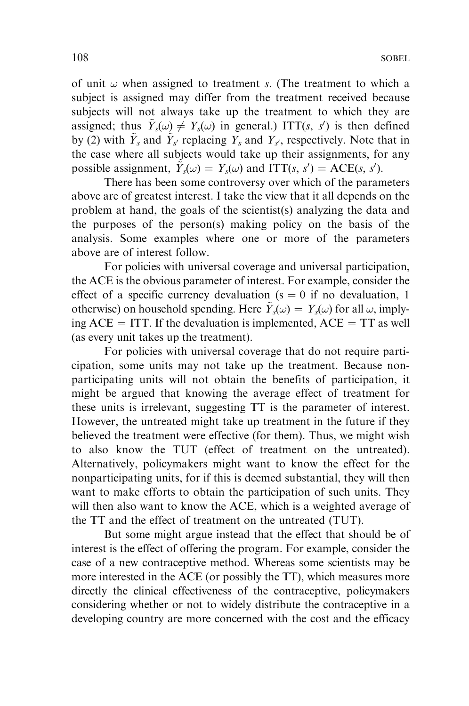of unit  $\omega$  when assigned to treatment s. (The treatment to which a subject is assigned may differ from the treatment received because subjects will not always take up the treatment to which they are assigned; thus  $\tilde{Y}_s(\omega) \neq Y_s(\omega)$  in general.) ITT(s, s') is then defined by (2) with  $\tilde{Y}_s$  and  $\tilde{Y}_{s'}$  replacing  $Y_s$  and  $Y_{s'}$ , respectively. Note that in the case where all subjects would take up their assignments, for any possible assignment,  $\tilde{Y}_s(\omega) = Y_s(\omega)$  and ITT(s, s') = ACE(s, s').

There has been some controversy over which of the parameters above are of greatest interest. I take the view that it all depends on the problem at hand, the goals of the scientist(s) analyzing the data and the purposes of the person(s) making policy on the basis of the analysis. Some examples where one or more of the parameters above are of interest follow.

For policies with universal coverage and universal participation, the ACE is the obvious parameter of interest. For example, consider the effect of a specific currency devaluation ( $s = 0$  if no devaluation, 1 otherwise) on household spending. Here  $\tilde{Y}_s(\omega) = Y_s(\omega)$  for all  $\omega$ , implying  $ACE = ITT$ . If the devaluation is implemented,  $ACE = TT$  as well (as every unit takes up the treatment).

For policies with universal coverage that do not require participation, some units may not take up the treatment. Because nonparticipating units will not obtain the benefits of participation, it might be argued that knowing the average effect of treatment for these units is irrelevant, suggesting TT is the parameter of interest. However, the untreated might take up treatment in the future if they believed the treatment were effective (for them). Thus, we might wish to also know the TUT (effect of treatment on the untreated). Alternatively, policymakers might want to know the effect for the nonparticipating units, for if this is deemed substantial, they will then want to make efforts to obtain the participation of such units. They will then also want to know the ACE, which is a weighted average of the TT and the effect of treatment on the untreated (TUT).

But some might argue instead that the effect that should be of interest is the effect of offering the program. For example, consider the case of a new contraceptive method. Whereas some scientists may be more interested in the ACE (or possibly the TT), which measures more directly the clinical effectiveness of the contraceptive, policymakers considering whether or not to widely distribute the contraceptive in a developing country are more concerned with the cost and the efficacy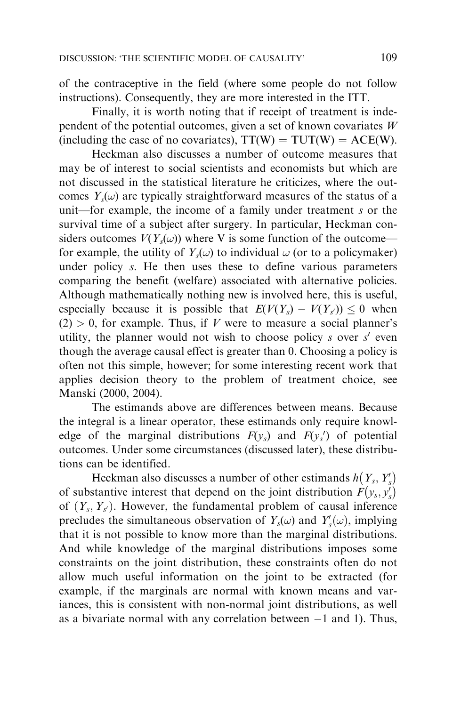of the contraceptive in the field (where some people do not follow instructions). Consequently, they are more interested in the ITT.

Finally, it is worth noting that if receipt of treatment is independent of the potential outcomes, given a set of known covariates  $W$ (including the case of no covariates),  $TT(W) = TUT(W) = ACE(W)$ .

Heckman also discusses a number of outcome measures that may be of interest to social scientists and economists but which are not discussed in the statistical literature he criticizes, where the outcomes  $Y_s(\omega)$  are typically straightforward measures of the status of a unit—for example, the income of a family under treatment s or the survival time of a subject after surgery. In particular, Heckman considers outcomes  $V(Y_s(\omega))$  where V is some function of the outcome for example, the utility of  $Y_s(\omega)$  to individual  $\omega$  (or to a policymaker) under policy s. He then uses these to define various parameters comparing the benefit (welfare) associated with alternative policies. Although mathematically nothing new is involved here, this is useful, especially because it is possible that  $E(V(Y_s) - V(Y_{s})) \leq 0$  when  $(2) > 0$ , for example. Thus, if V were to measure a social planner's utility, the planner would not wish to choose policy s over  $s'$  even though the average causal effect is greater than 0. Choosing a policy is often not this simple, however; for some interesting recent work that applies decision theory to the problem of treatment choice, see Manski (2000, 2004).

The estimands above are differences between means. Because the integral is a linear operator, these estimands only require knowledge of the marginal distributions  $F(y_s)$  and  $F(y'_s)$  of potential outcomes. Under some circumstances (discussed later), these distributions can be identified.

Heckman also discusses a number of other estimands  $h(Y_s, Y_s)$  $(\mathbf{v} \ \mathbf{v})$ of substantive interest that depend on the joint distribution  $F(y_s, y'_s)$  $\frac{1}{2} \frac{s}{2} + \frac{s}{2}$ of  $(Y_s, Y_{s'})$ . However, the fundamental problem of causal inference precludes the simultaneous observation of  $Y_s(\omega)$  and  $Y'_s(\omega)$ , implying that it is not possible to know more than the marginal distributions. And while knowledge of the marginal distributions imposes some constraints on the joint distribution, these constraints often do not allow much useful information on the joint to be extracted (for example, if the marginals are normal with known means and variances, this is consistent with non-normal joint distributions, as well as a bivariate normal with any correlation between  $-1$  and 1). Thus,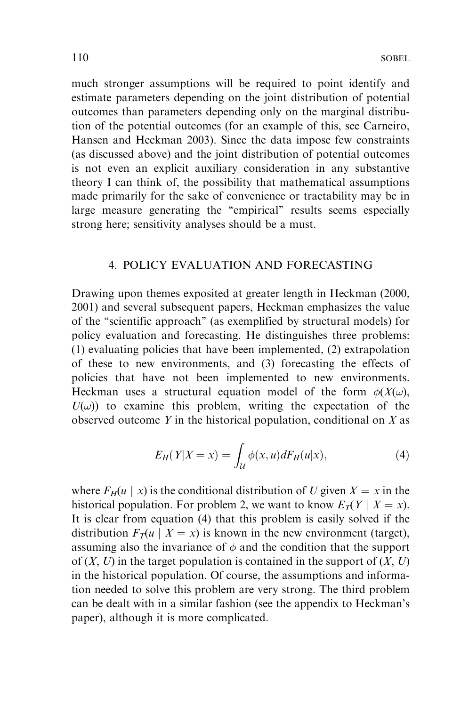much stronger assumptions will be required to point identify and estimate parameters depending on the joint distribution of potential outcomes than parameters depending only on the marginal distribution of the potential outcomes (for an example of this, see Carneiro, Hansen and Heckman 2003). Since the data impose few constraints (as discussed above) and the joint distribution of potential outcomes is not even an explicit auxiliary consideration in any substantive theory I can think of, the possibility that mathematical assumptions made primarily for the sake of convenience or tractability may be in large measure generating the "empirical" results seems especially strong here; sensitivity analyses should be a must.

## 4. POLICY EVALUATION AND FORECASTING

Drawing upon themes exposited at greater length in Heckman (2000, 2001) and several subsequent papers, Heckman emphasizes the value of the ''scientific approach'' (as exemplified by structural models) for policy evaluation and forecasting. He distinguishes three problems: (1) evaluating policies that have been implemented, (2) extrapolation of these to new environments, and (3) forecasting the effects of policies that have not been implemented to new environments. Heckman uses a structural equation model of the form  $\phi(X(\omega))$ ,  $U(\omega)$  to examine this problem, writing the expectation of the observed outcome  $Y$  in the historical population, conditional on  $X$  as

$$
E_H(Y|X=x) = \int_{\mathcal{U}} \phi(x, u) dF_H(u|x), \tag{4}
$$

where  $F_H(u \mid x)$  is the conditional distribution of U given  $X = x$  in the historical population. For problem 2, we want to know  $E_T(Y | X = x)$ . It is clear from equation (4) that this problem is easily solved if the distribution  $F_T(u \mid X = x)$  is known in the new environment (target), assuming also the invariance of  $\phi$  and the condition that the support of  $(X, U)$  in the target population is contained in the support of  $(X, U)$ in the historical population. Of course, the assumptions and information needed to solve this problem are very strong. The third problem can be dealt with in a similar fashion (see the appendix to Heckman's paper), although it is more complicated.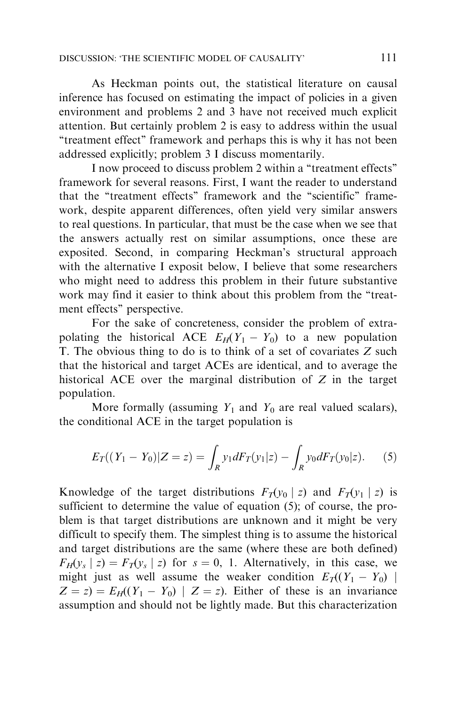As Heckman points out, the statistical literature on causal inference has focused on estimating the impact of policies in a given environment and problems 2 and 3 have not received much explicit attention. But certainly problem 2 is easy to address within the usual ''treatment effect'' framework and perhaps this is why it has not been addressed explicitly; problem 3 I discuss momentarily.

I now proceed to discuss problem 2 within a ''treatment effects'' framework for several reasons. First, I want the reader to understand that the ''treatment effects'' framework and the ''scientific'' framework, despite apparent differences, often yield very similar answers to real questions. In particular, that must be the case when we see that the answers actually rest on similar assumptions, once these are exposited. Second, in comparing Heckman's structural approach with the alternative I exposit below, I believe that some researchers who might need to address this problem in their future substantive work may find it easier to think about this problem from the "treatment effects'' perspective.

For the sake of concreteness, consider the problem of extrapolating the historical ACE  $E_H(Y_1 - Y_0)$  to a new population T. The obvious thing to do is to think of a set of covariates Z such that the historical and target ACEs are identical, and to average the historical ACE over the marginal distribution of  $Z$  in the target population.

More formally (assuming  $Y_1$  and  $Y_0$  are real valued scalars), the conditional ACE in the target population is

$$
E_T((Y_1 - Y_0)|Z = z) = \int_R y_1 dF_T(y_1|z) - \int_R y_0 dF_T(y_0|z). \tag{5}
$$

Knowledge of the target distributions  $F_T(y_0 | z)$  and  $F_T(y_1 | z)$  is sufficient to determine the value of equation (5); of course, the problem is that target distributions are unknown and it might be very difficult to specify them. The simplest thing is to assume the historical and target distributions are the same (where these are both defined)  $F_H(y_s | z) = F_T(y_s | z)$  for  $s = 0, 1$ . Alternatively, in this case, we might just as well assume the weaker condition  $E_T((Y_1 - Y_0)$  $Z = z$ ) =  $E_H((Y_1 - Y_0) \mid Z = z)$ . Either of these is an invariance assumption and should not be lightly made. But this characterization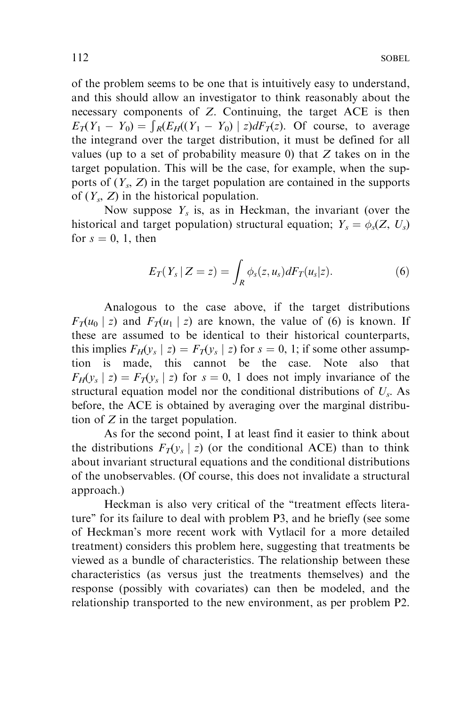of the problem seems to be one that is intuitively easy to understand, and this should allow an investigator to think reasonably about the necessary components of Z. Continuing, the target ACE is then  $E_T(Y_1 - Y_0) = \int_R (E_H((Y_1 - Y_0) | z) dF_T(z))$ . Of course, to average the integrand over the target distribution, it must be defined for all values (up to a set of probability measure 0) that  $Z$  takes on in the target population. This will be the case, for example, when the supports of  $(Y_s, Z)$  in the target population are contained in the supports of  $(Y_s, Z)$  in the historical population.

Now suppose  $Y_s$  is, as in Heckman, the invariant (over the historical and target population) structural equation;  $Y_s = \phi_s(Z, U_s)$ for  $s = 0, 1$ , then

$$
E_T(Y_s | Z=z) = \int_R \phi_s(z, u_s) dF_T(u_s | z). \tag{6}
$$

Analogous to the case above, if the target distributions  $F_T(u_0 | z)$  and  $F_T(u_1 | z)$  are known, the value of (6) is known. If these are assumed to be identical to their historical counterparts, this implies  $F_H(v_s \mid z) = F_T(v_s \mid z)$  for  $s = 0, 1$ ; if some other assumption is made, this cannot be the case. Note also that  $F_H(y_s | z) = F_T(y_s | z)$  for  $s = 0$ , 1 does not imply invariance of the structural equation model nor the conditional distributions of  $U_s$ . As before, the ACE is obtained by averaging over the marginal distribution of  $Z$  in the target population.

As for the second point, I at least find it easier to think about the distributions  $F_T(v_s \mid z)$  (or the conditional ACE) than to think about invariant structural equations and the conditional distributions of the unobservables. (Of course, this does not invalidate a structural approach.)

Heckman is also very critical of the "treatment effects literature'' for its failure to deal with problem P3, and he briefly (see some of Heckman's more recent work with Vytlacil for a more detailed treatment) considers this problem here, suggesting that treatments be viewed as a bundle of characteristics. The relationship between these characteristics (as versus just the treatments themselves) and the response (possibly with covariates) can then be modeled, and the relationship transported to the new environment, as per problem P2.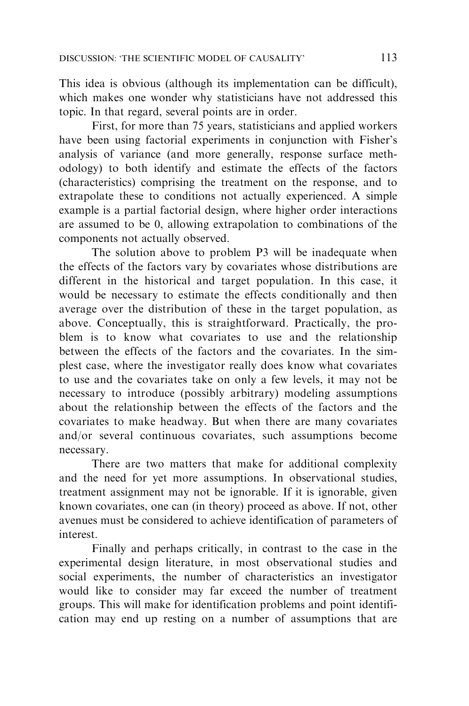This idea is obvious (although its implementation can be difficult), which makes one wonder why statisticians have not addressed this topic. In that regard, several points are in order.

First, for more than 75 years, statisticians and applied workers have been using factorial experiments in conjunction with Fisher's analysis of variance (and more generally, response surface methodology) to both identify and estimate the effects of the factors (characteristics) comprising the treatment on the response, and to extrapolate these to conditions not actually experienced. A simple example is a partial factorial design, where higher order interactions are assumed to be 0, allowing extrapolation to combinations of the components not actually observed.

The solution above to problem P3 will be inadequate when the effects of the factors vary by covariates whose distributions are different in the historical and target population. In this case, it would be necessary to estimate the effects conditionally and then average over the distribution of these in the target population, as above. Conceptually, this is straightforward. Practically, the problem is to know what covariates to use and the relationship between the effects of the factors and the covariates. In the simplest case, where the investigator really does know what covariates to use and the covariates take on only a few levels, it may not be necessary to introduce (possibly arbitrary) modeling assumptions about the relationship between the effects of the factors and the covariates to make headway. But when there are many covariates and/or several continuous covariates, such assumptions become necessary.

There are two matters that make for additional complexity and the need for yet more assumptions. In observational studies, treatment assignment may not be ignorable. If it is ignorable, given known covariates, one can (in theory) proceed as above. If not, other avenues must be considered to achieve identification of parameters of interest.

Finally and perhaps critically, in contrast to the case in the experimental design literature, in most observational studies and social experiments, the number of characteristics an investigator would like to consider may far exceed the number of treatment groups. This will make for identification problems and point identification may end up resting on a number of assumptions that are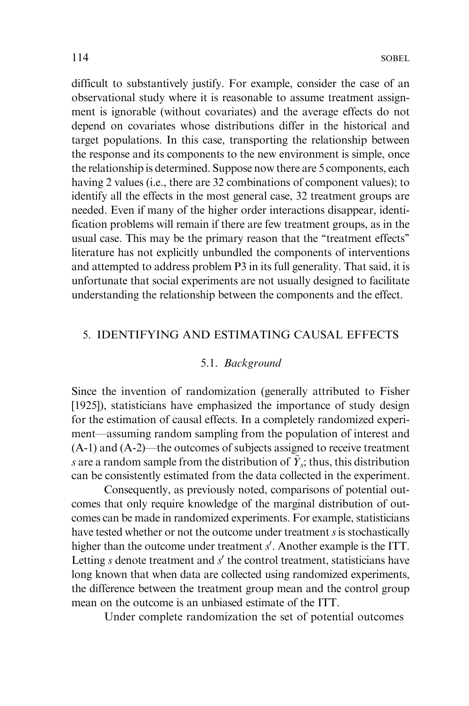difficult to substantively justify. For example, consider the case of an observational study where it is reasonable to assume treatment assignment is ignorable (without covariates) and the average effects do not depend on covariates whose distributions differ in the historical and target populations. In this case, transporting the relationship between the response and its components to the new environment is simple, once the relationship is determined. Suppose now there are 5 components, each having 2 values (i.e., there are 32 combinations of component values); to identify all the effects in the most general case, 32 treatment groups are needed. Even if many of the higher order interactions disappear, identification problems will remain if there are few treatment groups, as in the usual case. This may be the primary reason that the ''treatment effects'' literature has not explicitly unbundled the components of interventions and attempted to address problem P3 in its full generality. That said, it is unfortunate that social experiments are not usually designed to facilitate understanding the relationship between the components and the effect.

#### 5. IDENTIFYING AND ESTIMATING CAUSAL EFFECTS

#### 5.1. Background

Since the invention of randomization (generally attributed to Fisher [1925]), statisticians have emphasized the importance of study design for the estimation of causal effects. In a completely randomized experiment—assuming random sampling from the population of interest and (A-1) and (A-2)—the outcomes of subjects assigned to receive treatment s are a random sample from the distribution of  $\tilde{Y}_s$ ; thus, this distribution can be consistently estimated from the data collected in the experiment.

Consequently, as previously noted, comparisons of potential outcomes that only require knowledge of the marginal distribution of outcomes can be made in randomized experiments. For example, statisticians have tested whether or not the outcome under treatment  $s$  is stochastically higher than the outcome under treatment  $s'$ . Another example is the ITT. Letting s denote treatment and  $s'$  the control treatment, statisticians have long known that when data are collected using randomized experiments, the difference between the treatment group mean and the control group mean on the outcome is an unbiased estimate of the ITT.

Under complete randomization the set of potential outcomes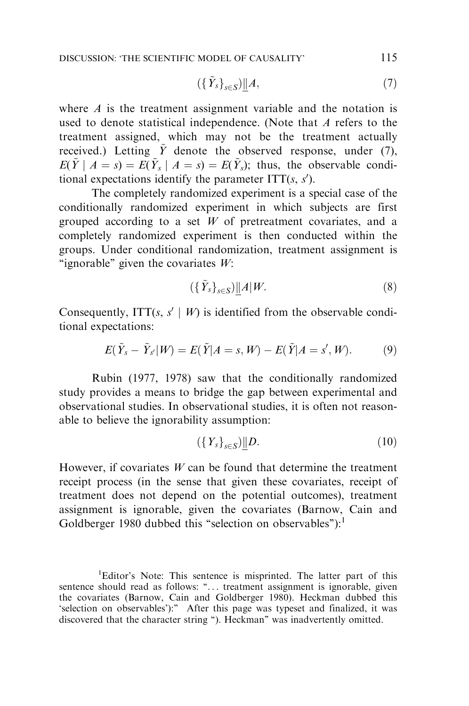$$
(\{\tilde{Y}_s\}_{s\in S})\underline{\parallel}A,\tag{7}
$$

where A is the treatment assignment variable and the notation is used to denote statistical independence. (Note that A refers to the treatment assigned, which may not be the treatment actually received.) Letting  $\tilde{Y}$  denote the observed response, under (7),  $E(\tilde{Y} \mid A = s) = E(\tilde{Y}_s \mid A = s) = E(\tilde{Y}_s);$  thus, the observable conditional expectations identify the parameter  $ITT(s, s')$ .

The completely randomized experiment is a special case of the conditionally randomized experiment in which subjects are first grouped according to a set  $W$  of pretreatment covariates, and a completely randomized experiment is then conducted within the groups. Under conditional randomization, treatment assignment is "ignorable" given the covariates  $W$ :

$$
(\{\tilde{Y}_s\}_{s\in S})\|A|W.\tag{8}
$$

Consequently,  $ITT(s, s' | W)$  is identified from the observable conditional expectations:

$$
E(\tilde{Y}_s - \tilde{Y}_{s'}|W) = E(\tilde{Y}|A = s, W) - E(\tilde{Y}|A = s', W). \tag{9}
$$

Rubin (1977, 1978) saw that the conditionally randomized study provides a means to bridge the gap between experimental and observational studies. In observational studies, it is often not reasonable to believe the ignorability assumption:

$$
(\{Y_s\}_{s\in S})\underline{\parallel}D.\tag{10}
$$

However, if covariates  $W$  can be found that determine the treatment receipt process (in the sense that given these covariates, receipt of treatment does not depend on the potential outcomes), treatment assignment is ignorable, given the covariates (Barnow, Cain and Goldberger 1980 dubbed this "selection on observables"): $<sup>1</sup>$ </sup>

<sup>&</sup>lt;sup>1</sup>Editor's Note: This sentence is misprinted. The latter part of this sentence should read as follows: "... treatment assignment is ignorable, given the covariates (Barnow, Cain and Goldberger 1980). Heckman dubbed this 'selection on observables'):" After this page was typeset and finalized, it was discovered that the character string "). Heckman" was inadvertently omitted.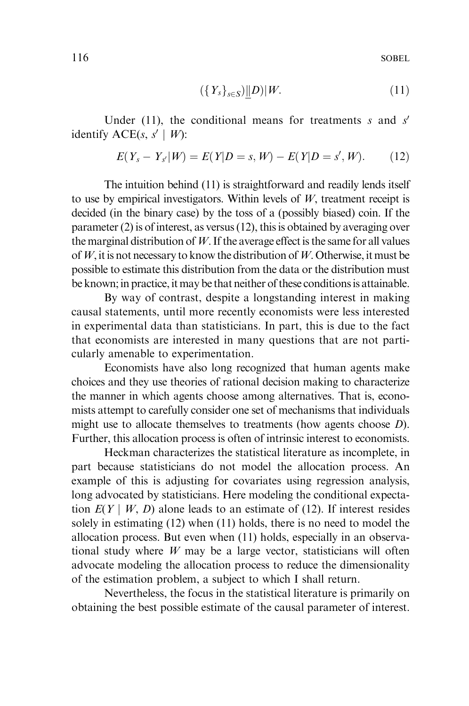116 SOBEL

$$
(\{Y_s\}_{s\in S})\underline{\parallel}D)|W.\tag{11}
$$

Under (11), the conditional means for treatments s and  $s'$ identify ACE(s,  $s' \mid W$ ):

$$
E(Y_s - Y_{s'}|W) = E(Y|D = s, W) - E(Y|D = s', W).
$$
 (12)

The intuition behind (11) is straightforward and readily lends itself to use by empirical investigators. Within levels of  $W$ , treatment receipt is decided (in the binary case) by the toss of a (possibly biased) coin. If the parameter (2) is of interest, as versus (12), this is obtained by averaging over the marginal distribution of  $W$ . If the average effect is the same for all values of W, it is not necessary to know the distribution of W. Otherwise, it must be possible to estimate this distribution from the data or the distribution must be known; in practice, it may be that neither of these conditions is attainable.

By way of contrast, despite a longstanding interest in making causal statements, until more recently economists were less interested in experimental data than statisticians. In part, this is due to the fact that economists are interested in many questions that are not particularly amenable to experimentation.

Economists have also long recognized that human agents make choices and they use theories of rational decision making to characterize the manner in which agents choose among alternatives. That is, economists attempt to carefully consider one set of mechanisms that individuals might use to allocate themselves to treatments (how agents choose *D*). Further, this allocation process is often of intrinsic interest to economists.

Heckman characterizes the statistical literature as incomplete, in part because statisticians do not model the allocation process. An example of this is adjusting for covariates using regression analysis, long advocated by statisticians. Here modeling the conditional expectation  $E(Y \mid W, D)$  alone leads to an estimate of (12). If interest resides solely in estimating (12) when (11) holds, there is no need to model the allocation process. But even when (11) holds, especially in an observational study where  $W$  may be a large vector, statisticians will often advocate modeling the allocation process to reduce the dimensionality of the estimation problem, a subject to which I shall return.

Nevertheless, the focus in the statistical literature is primarily on obtaining the best possible estimate of the causal parameter of interest.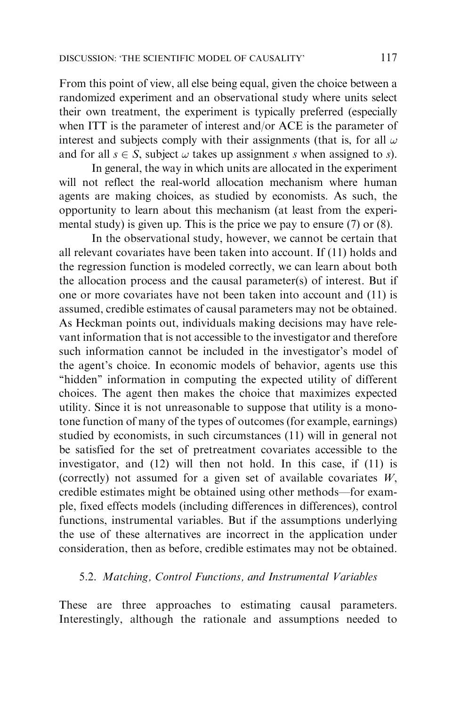From this point of view, all else being equal, given the choice between a randomized experiment and an observational study where units select their own treatment, the experiment is typically preferred (especially when ITT is the parameter of interest and/or ACE is the parameter of interest and subjects comply with their assignments (that is, for all  $\omega$ and for all  $s \in S$ , subject  $\omega$  takes up assignment s when assigned to s).

In general, the way in which units are allocated in the experiment will not reflect the real-world allocation mechanism where human agents are making choices, as studied by economists. As such, the opportunity to learn about this mechanism (at least from the experimental study) is given up. This is the price we pay to ensure (7) or (8).

In the observational study, however, we cannot be certain that all relevant covariates have been taken into account. If (11) holds and the regression function is modeled correctly, we can learn about both the allocation process and the causal parameter(s) of interest. But if one or more covariates have not been taken into account and (11) is assumed, credible estimates of causal parameters may not be obtained. As Heckman points out, individuals making decisions may have relevant information that is not accessible to the investigator and therefore such information cannot be included in the investigator's model of the agent's choice. In economic models of behavior, agents use this "hidden" information in computing the expected utility of different choices. The agent then makes the choice that maximizes expected utility. Since it is not unreasonable to suppose that utility is a monotone function of many of the types of outcomes (for example, earnings) studied by economists, in such circumstances (11) will in general not be satisfied for the set of pretreatment covariates accessible to the investigator, and (12) will then not hold. In this case, if (11) is (correctly) not assumed for a given set of available covariates W, credible estimates might be obtained using other methods—for example, fixed effects models (including differences in differences), control functions, instrumental variables. But if the assumptions underlying the use of these alternatives are incorrect in the application under consideration, then as before, credible estimates may not be obtained.

#### 5.2. Matching, Control Functions, and Instrumental Variables

These are three approaches to estimating causal parameters. Interestingly, although the rationale and assumptions needed to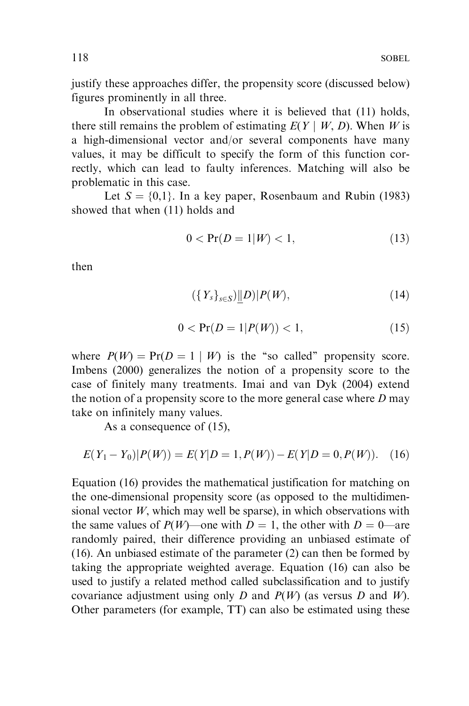justify these approaches differ, the propensity score (discussed below) figures prominently in all three.

In observational studies where it is believed that (11) holds, there still remains the problem of estimating  $E(Y \mid W, D)$ . When W is a high-dimensional vector and/or several components have many values, it may be difficult to specify the form of this function correctly, which can lead to faulty inferences. Matching will also be problematic in this case.

Let  $S = \{0,1\}$ . In a key paper, Rosenbaum and Rubin (1983) showed that when (11) holds and

$$
0 < \Pr(D = 1 | W) < 1,\tag{13}
$$

then

$$
(\{Y_s\}_{s\in S})\underline{\parallel}D)|P(W),\tag{14}
$$

$$
0 < \Pr(D = 1 | P(W)) < 1,\tag{15}
$$

where  $P(W) = Pr(D = 1 | W)$  is the "so called" propensity score. Imbens (2000) generalizes the notion of a propensity score to the case of finitely many treatments. Imai and van Dyk (2004) extend the notion of a propensity score to the more general case where  $D$  may take on infinitely many values.

As a consequence of (15),

$$
E(Y_1 - Y_0)|P(W)\rangle = E(Y|D = 1, P(W)) - E(Y|D = 0, P(W)). \tag{16}
$$

Equation (16) provides the mathematical justification for matching on the one-dimensional propensity score (as opposed to the multidimensional vector  $W$ , which may well be sparse), in which observations with the same values of  $P(W)$ —one with  $D = 1$ , the other with  $D = 0$ —are randomly paired, their difference providing an unbiased estimate of (16). An unbiased estimate of the parameter (2) can then be formed by taking the appropriate weighted average. Equation (16) can also be used to justify a related method called subclassification and to justify covariance adjustment using only D and  $P(W)$  (as versus D and W). Other parameters (for example, TT) can also be estimated using these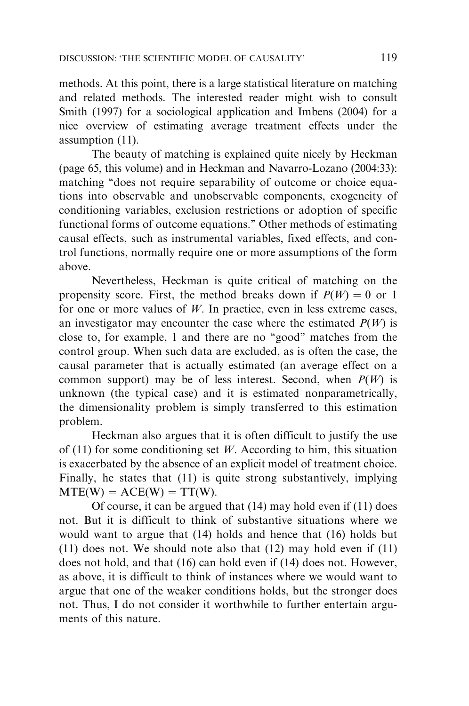methods. At this point, there is a large statistical literature on matching and related methods. The interested reader might wish to consult Smith (1997) for a sociological application and Imbens (2004) for a nice overview of estimating average treatment effects under the assumption (11).

The beauty of matching is explained quite nicely by Heckman (page 65, this volume) and in Heckman and Navarro-Lozano (2004:33): matching "does not require separability of outcome or choice equations into observable and unobservable components, exogeneity of conditioning variables, exclusion restrictions or adoption of specific functional forms of outcome equations.'' Other methods of estimating causal effects, such as instrumental variables, fixed effects, and control functions, normally require one or more assumptions of the form above.

Nevertheless, Heckman is quite critical of matching on the propensity score. First, the method breaks down if  $P(W) = 0$  or 1 for one or more values of  $W$ . In practice, even in less extreme cases, an investigator may encounter the case where the estimated  $P(W)$  is close to, for example, 1 and there are no ''good'' matches from the control group. When such data are excluded, as is often the case, the causal parameter that is actually estimated (an average effect on a common support) may be of less interest. Second, when  $P(W)$  is unknown (the typical case) and it is estimated nonparametrically, the dimensionality problem is simply transferred to this estimation problem.

Heckman also argues that it is often difficult to justify the use of (11) for some conditioning set W. According to him, this situation is exacerbated by the absence of an explicit model of treatment choice. Finally, he states that (11) is quite strong substantively, implying  $MTE(W) = ACE(W) = TT(W).$ 

Of course, it can be argued that (14) may hold even if (11) does not. But it is difficult to think of substantive situations where we would want to argue that (14) holds and hence that (16) holds but (11) does not. We should note also that (12) may hold even if (11) does not hold, and that (16) can hold even if (14) does not. However, as above, it is difficult to think of instances where we would want to argue that one of the weaker conditions holds, but the stronger does not. Thus, I do not consider it worthwhile to further entertain arguments of this nature.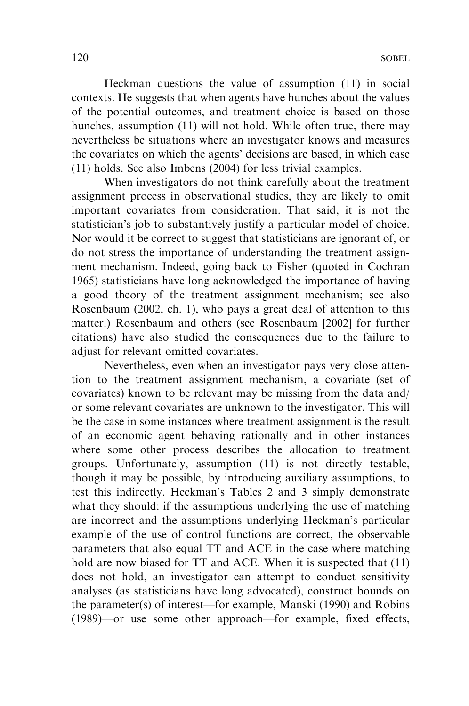Heckman questions the value of assumption (11) in social contexts. He suggests that when agents have hunches about the values of the potential outcomes, and treatment choice is based on those hunches, assumption (11) will not hold. While often true, there may nevertheless be situations where an investigator knows and measures the covariates on which the agents' decisions are based, in which case (11) holds. See also Imbens (2004) for less trivial examples.

When investigators do not think carefully about the treatment assignment process in observational studies, they are likely to omit important covariates from consideration. That said, it is not the statistician's job to substantively justify a particular model of choice. Nor would it be correct to suggest that statisticians are ignorant of, or do not stress the importance of understanding the treatment assignment mechanism. Indeed, going back to Fisher (quoted in Cochran 1965) statisticians have long acknowledged the importance of having a good theory of the treatment assignment mechanism; see also Rosenbaum (2002, ch. 1), who pays a great deal of attention to this matter.) Rosenbaum and others (see Rosenbaum [2002] for further citations) have also studied the consequences due to the failure to adjust for relevant omitted covariates.

Nevertheless, even when an investigator pays very close attention to the treatment assignment mechanism, a covariate (set of covariates) known to be relevant may be missing from the data and/ or some relevant covariates are unknown to the investigator. This will be the case in some instances where treatment assignment is the result of an economic agent behaving rationally and in other instances where some other process describes the allocation to treatment groups. Unfortunately, assumption (11) is not directly testable, though it may be possible, by introducing auxiliary assumptions, to test this indirectly. Heckman's Tables 2 and 3 simply demonstrate what they should: if the assumptions underlying the use of matching are incorrect and the assumptions underlying Heckman's particular example of the use of control functions are correct, the observable parameters that also equal TT and ACE in the case where matching hold are now biased for TT and ACE. When it is suspected that (11) does not hold, an investigator can attempt to conduct sensitivity analyses (as statisticians have long advocated), construct bounds on the parameter(s) of interest—for example, Manski (1990) and Robins (1989)—or use some other approach—for example, fixed effects,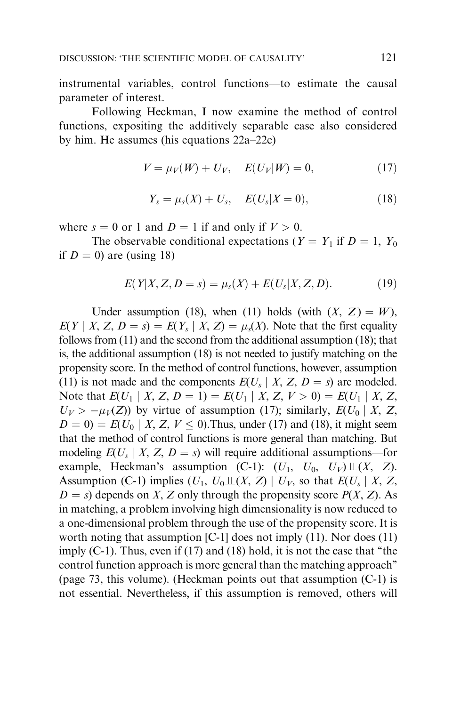instrumental variables, control functions—to estimate the causal parameter of interest.

Following Heckman, I now examine the method of control functions, expositing the additively separable case also considered by him. He assumes (his equations 22a–22c)

$$
V = \mu_V(W) + U_V, \quad E(U_V|W) = 0,
$$
\n(17)

$$
Y_s = \mu_s(X) + U_s, \quad E(U_s|X=0), \tag{18}
$$

where  $s = 0$  or 1 and  $D = 1$  if and only if  $V > 0$ .

The observable conditional expectations ( $Y = Y_1$  if  $D = 1$ ,  $Y_0$ if  $D = 0$ ) are (using 18)

$$
E(Y|X, Z, D = s) = \mu_s(X) + E(U_s|X, Z, D). \tag{19}
$$

Under assumption (18), when (11) holds (with  $(X, Z) = W$ ),  $E(Y | X, Z, D = s) = E(Y_s | X, Z) = \mu_s(X)$ . Note that the first equality follows from (11) and the second from the additional assumption (18); that is, the additional assumption (18) is not needed to justify matching on the propensity score. In the method of control functions, however, assumption (11) is not made and the components  $E(U_s | X, Z, D = s)$  are modeled. Note that  $E(U_1 | X, Z, D = 1) = E(U_1 | X, Z, V > 0) = E(U_1 | X, Z,$  $U_V > -\mu_V(Z)$ ) by virtue of assumption (17); similarly,  $E(U_0 | X, Z, \mathbb{Z})$  $D = 0$ ) =  $E(U_0 | X, Z, V < 0)$ . Thus, under (17) and (18), it might seem that the method of control functions is more general than matching. But modeling  $E(U_s | X, Z, D = s)$  will require additional assumptions—for example, Heckman's assumption (C-1):  $(U_1, U_0, U_V) \perp (X, Z)$ . Assumption (C-1) implies  $(U_1, U_0 \perp \!\!\! \perp (X, Z) \mid U_V$ , so that  $E(U_s \mid X, Z, Z)$  $D = s$ ) depends on X, Z only through the propensity score  $P(X, Z)$ . As in matching, a problem involving high dimensionality is now reduced to a one-dimensional problem through the use of the propensity score. It is worth noting that assumption [C-1] does not imply (11). Nor does (11) imply  $(C-1)$ . Thus, even if  $(17)$  and  $(18)$  hold, it is not the case that "the control function approach is more general than the matching approach'' (page 73, this volume). (Heckman points out that assumption (C-1) is not essential. Nevertheless, if this assumption is removed, others will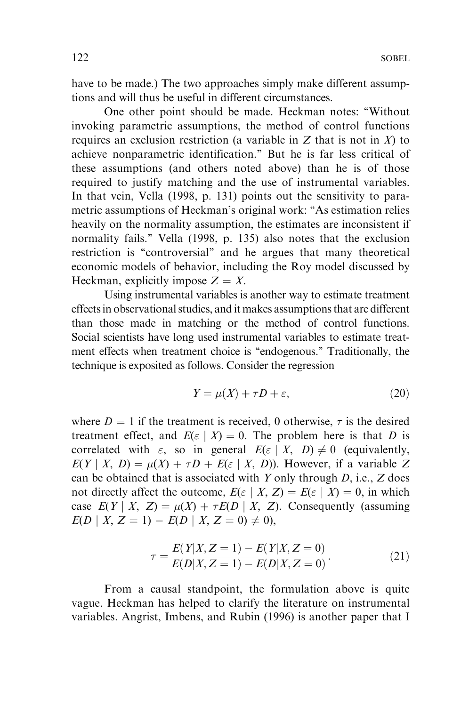have to be made.) The two approaches simply make different assumptions and will thus be useful in different circumstances.

One other point should be made. Heckman notes: ''Without invoking parametric assumptions, the method of control functions requires an exclusion restriction (a variable in  $Z$  that is not in  $X$ ) to achieve nonparametric identification.'' But he is far less critical of these assumptions (and others noted above) than he is of those required to justify matching and the use of instrumental variables. In that vein, Vella (1998, p. 131) points out the sensitivity to parametric assumptions of Heckman's original work: "As estimation relies heavily on the normality assumption, the estimates are inconsistent if normality fails.'' Vella (1998, p. 135) also notes that the exclusion restriction is "controversial" and he argues that many theoretical economic models of behavior, including the Roy model discussed by Heckman, explicitly impose  $Z = X$ .

Using instrumental variables is another way to estimate treatment effects in observational studies, and it makes assumptions that are different than those made in matching or the method of control functions. Social scientists have long used instrumental variables to estimate treatment effects when treatment choice is "endogenous." Traditionally, the technique is exposited as follows. Consider the regression

$$
Y = \mu(X) + \tau D + \varepsilon,\tag{20}
$$

where  $D = 1$  if the treatment is received, 0 otherwise,  $\tau$  is the desired treatment effect, and  $E(\varepsilon | X) = 0$ . The problem here is that D is correlated with  $\varepsilon$ , so in general  $E(\varepsilon | X, D) \neq 0$  (equivalently,  $E(Y | X, D) = \mu(X) + \tau D + E(\epsilon | X, D)$ . However, if a variable Z can be obtained that is associated with  $Y$  only through  $D$ , i.e.,  $Z$  does not directly affect the outcome,  $E(\varepsilon | X, Z) = E(\varepsilon | X) = 0$ , in which case  $E(Y | X, Z) = \mu(X) + \tau E(D | X, Z)$ . Consequently (assuming  $E(D \mid X, Z = 1) - E(D \mid X, Z = 0) \neq 0$ ,

$$
\tau = \frac{E(Y|X, Z=1) - E(Y|X, Z=0)}{E(D|X, Z=1) - E(D|X, Z=0)}.\tag{21}
$$

From a causal standpoint, the formulation above is quite vague. Heckman has helped to clarify the literature on instrumental variables. Angrist, Imbens, and Rubin (1996) is another paper that I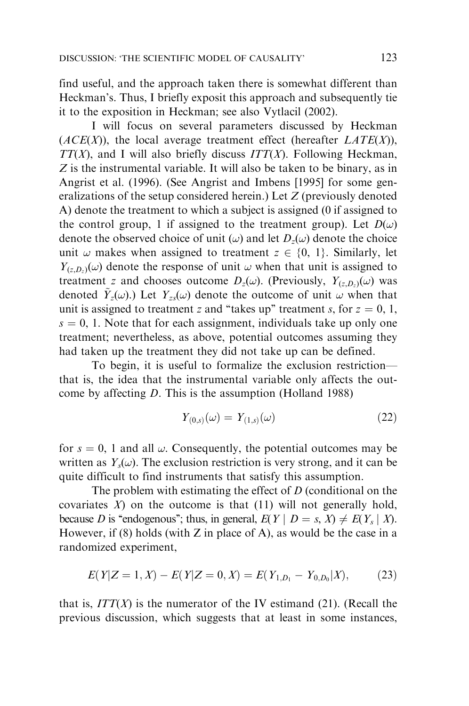find useful, and the approach taken there is somewhat different than Heckman's. Thus, I briefly exposit this approach and subsequently tie it to the exposition in Heckman; see also Vytlacil (2002).

I will focus on several parameters discussed by Heckman  $(ACE(X))$ , the local average treatment effect (hereafter  $LATE(X)$ ),  $TT(X)$ , and I will also briefly discuss  $ITT(X)$ . Following Heckman,  $Z$  is the instrumental variable. It will also be taken to be binary, as in Angrist et al. (1996). (See Angrist and Imbens [1995] for some generalizations of the setup considered herein.) Let Z (previously denoted A) denote the treatment to which a subject is assigned (0 if assigned to the control group, 1 if assigned to the treatment group). Let  $D(\omega)$ denote the observed choice of unit  $(\omega)$  and let  $D_z(\omega)$  denote the choice unit  $\omega$  makes when assigned to treatment  $z \in \{0, 1\}$ . Similarly, let  $Y_{(z,D_z)}(\omega)$  denote the response of unit  $\omega$  when that unit is assigned to treatment z and chooses outcome  $D_z(\omega)$ . (Previously,  $Y_{(z,D_z)}(\omega)$  was denoted  $\tilde{Y}_z(\omega)$ .) Let  $Y_{zs}(\omega)$  denote the outcome of unit  $\omega$  when that unit is assigned to treatment z and "takes up" treatment s, for  $z = 0, 1$ ,  $s = 0$ , 1. Note that for each assignment, individuals take up only one treatment; nevertheless, as above, potential outcomes assuming they had taken up the treatment they did not take up can be defined.

To begin, it is useful to formalize the exclusion restriction that is, the idea that the instrumental variable only affects the outcome by affecting D. This is the assumption (Holland 1988)

$$
Y_{(0,s)}(\omega) = Y_{(1,s)}(\omega) \tag{22}
$$

for  $s = 0$ , 1 and all  $\omega$ . Consequently, the potential outcomes may be written as  $Y_s(\omega)$ . The exclusion restriction is very strong, and it can be quite difficult to find instruments that satisfy this assumption.

The problem with estimating the effect of D (conditional on the covariates  $X$ ) on the outcome is that (11) will not generally hold, because D is "endogenous"; thus, in general,  $E(Y \mid D = s, X) \neq E(Y_s \mid X)$ . However, if (8) holds (with Z in place of A), as would be the case in a randomized experiment,

$$
E(Y|Z=1, X) - E(Y|Z=0, X) = E(Y_{1,D_1} - Y_{0,D_0}|X), \tag{23}
$$

that is,  $ITT(X)$  is the numerator of the IV estimand (21). (Recall the previous discussion, which suggests that at least in some instances,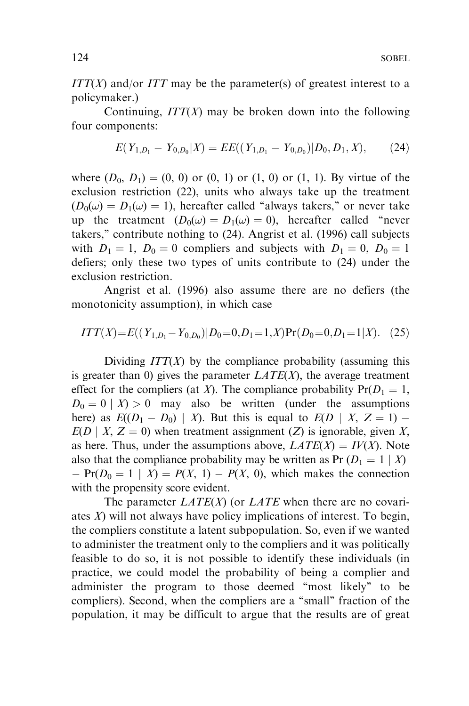$ITT(X)$  and/or ITT may be the parameter(s) of greatest interest to a policymaker.)

Continuing,  $ITT(X)$  may be broken down into the following four components:

$$
E(Y_{1,D_1} - Y_{0,D_0}|X) = EE((Y_{1,D_1} - Y_{0,D_0})|D_0, D_1, X), \qquad (24)
$$

where  $(D_0, D_1) = (0, 0)$  or  $(0, 1)$  or  $(1, 0)$  or  $(1, 1)$ . By virtue of the exclusion restriction (22), units who always take up the treatment  $(D_0(\omega) = D_1(\omega) = 1)$ , hereafter called "always takers," or never take up the treatment  $(D_0(\omega) = D_1(\omega) = 0)$ , hereafter called "never" takers,'' contribute nothing to (24). Angrist et al. (1996) call subjects with  $D_1 = 1$ ,  $D_0 = 0$  compliers and subjects with  $D_1 = 0$ ,  $D_0 = 1$ defiers; only these two types of units contribute to (24) under the exclusion restriction.

Angrist et al. (1996) also assume there are no defiers (the monotonicity assumption), in which case

$$
ITT(X) = E((Y_{1,D_1} - Y_{0,D_0}) | D_0 = 0, D_1 = 1, X) Pr(D_0 = 0, D_1 = 1 | X).
$$
 (25)

Dividing  $ITT(X)$  by the compliance probability (assuming this is greater than 0) gives the parameter  $LATE(X)$ , the average treatment effect for the compliers (at X). The compliance probability  $Pr(D_1 = 1,$  $D_0 = 0 | X > 0$  may also be written (under the assumptions here) as  $E((D_1 - D_0) | X)$ . But this is equal to  $E(D | X, Z = 1)$  –  $E(D \mid X, Z = 0)$  when treatment assignment (Z) is ignorable, given X, as here. Thus, under the assumptions above,  $LATE(X) = IV(X)$ . Note also that the compliance probability may be written as Pr  $(D_1 = 1 | X)$  $-Pr(D_0 = 1 | X) = P(X, 1) - P(X, 0)$ , which makes the connection with the propensity score evident.

The parameter  $LATE(X)$  (or  $LATE$  when there are no covariates  $X$ ) will not always have policy implications of interest. To begin, the compliers constitute a latent subpopulation. So, even if we wanted to administer the treatment only to the compliers and it was politically feasible to do so, it is not possible to identify these individuals (in practice, we could model the probability of being a complier and administer the program to those deemed ''most likely'' to be compliers). Second, when the compliers are a ''small'' fraction of the population, it may be difficult to argue that the results are of great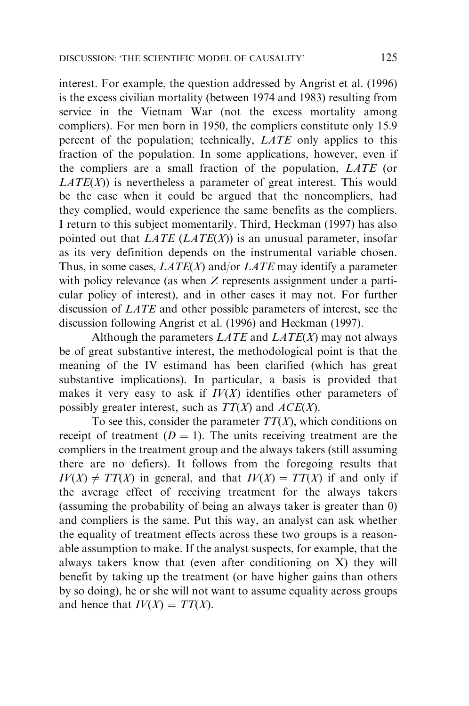interest. For example, the question addressed by Angrist et al. (1996) is the excess civilian mortality (between 1974 and 1983) resulting from service in the Vietnam War (not the excess mortality among compliers). For men born in 1950, the compliers constitute only 15.9 percent of the population; technically, LATE only applies to this fraction of the population. In some applications, however, even if the compliers are a small fraction of the population, LATE (or  $LATE(X)$ ) is nevertheless a parameter of great interest. This would be the case when it could be argued that the noncompliers, had they complied, would experience the same benefits as the compliers. I return to this subject momentarily. Third, Heckman (1997) has also pointed out that  $LATE (LATE(X))$  is an unusual parameter, insofar as its very definition depends on the instrumental variable chosen. Thus, in some cases,  $LATE(X)$  and/or  $LATE$  may identify a parameter with policy relevance (as when  $Z$  represents assignment under a particular policy of interest), and in other cases it may not. For further discussion of LATE and other possible parameters of interest, see the discussion following Angrist et al. (1996) and Heckman (1997).

Although the parameters  $LATE$  and  $LATE(X)$  may not always be of great substantive interest, the methodological point is that the meaning of the IV estimand has been clarified (which has great substantive implications). In particular, a basis is provided that makes it very easy to ask if  $IV(X)$  identifies other parameters of possibly greater interest, such as  $TT(X)$  and  $ACE(X)$ .

To see this, consider the parameter  $TT(X)$ , which conditions on receipt of treatment  $(D = 1)$ . The units receiving treatment are the compliers in the treatment group and the always takers (still assuming there are no defiers). It follows from the foregoing results that  $IV(X) \neq TT(X)$  in general, and that  $IV(X) = TT(X)$  if and only if the average effect of receiving treatment for the always takers (assuming the probability of being an always taker is greater than 0) and compliers is the same. Put this way, an analyst can ask whether the equality of treatment effects across these two groups is a reasonable assumption to make. If the analyst suspects, for example, that the always takers know that (even after conditioning on X) they will benefit by taking up the treatment (or have higher gains than others by so doing), he or she will not want to assume equality across groups and hence that  $IV(X) = TT(X)$ .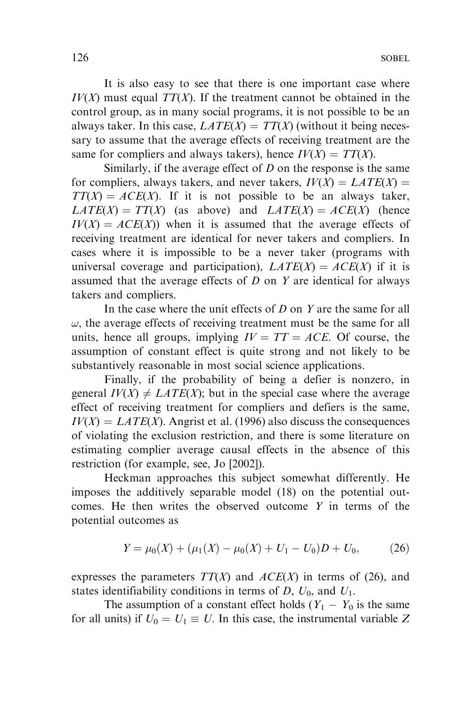It is also easy to see that there is one important case where  $IV(X)$  must equal  $TT(X)$ . If the treatment cannot be obtained in the control group, as in many social programs, it is not possible to be an always taker. In this case,  $LATE(X) = TT(X)$  (without it being necessary to assume that the average effects of receiving treatment are the same for compliers and always takers), hence  $IV(X) = TT(X)$ .

Similarly, if the average effect of  $D$  on the response is the same for compliers, always takers, and never takers,  $IV(X) = LATE(X) =$  $TT(X) = ACE(X)$ . If it is not possible to be an always taker,  $LATE(X) = TT(X)$  (as above) and  $LATE(X) = ACE(X)$  (hence  $IV(X) = ACE(X)$  when it is assumed that the average effects of receiving treatment are identical for never takers and compliers. In cases where it is impossible to be a never taker (programs with universal coverage and participation),  $LATE(X) = ACE(X)$  if it is assumed that the average effects of  $D$  on  $Y$  are identical for always takers and compliers.

In the case where the unit effects of  $D$  on  $Y$  are the same for all  $\omega$ , the average effects of receiving treatment must be the same for all units, hence all groups, implying  $IV = TT = ACE$ . Of course, the assumption of constant effect is quite strong and not likely to be substantively reasonable in most social science applications.

Finally, if the probability of being a defier is nonzero, in general  $IV(X) \neq LATE(X)$ ; but in the special case where the average effect of receiving treatment for compliers and defiers is the same,  $IV(X) = LATE(X)$ . Angrist et al. (1996) also discuss the consequences of violating the exclusion restriction, and there is some literature on estimating complier average causal effects in the absence of this restriction (for example, see, Jo [2002]).

Heckman approaches this subject somewhat differently. He imposes the additively separable model (18) on the potential outcomes. He then writes the observed outcome  $Y$  in terms of the potential outcomes as

$$
Y = \mu_0(X) + (\mu_1(X) - \mu_0(X) + U_1 - U_0)D + U_0, \tag{26}
$$

expresses the parameters  $TT(X)$  and  $ACE(X)$  in terms of (26), and states identifiability conditions in terms of D,  $U_0$ , and  $U_1$ .

The assumption of a constant effect holds  $(Y_1 - Y_0)$  is the same for all units) if  $U_0 = U_1 \equiv U$ . In this case, the instrumental variable Z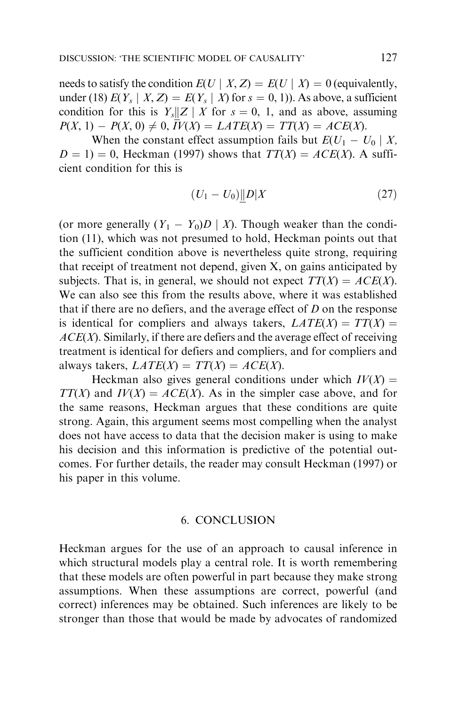needs to satisfy the condition  $E(U \mid X, Z) = E(U \mid X) = 0$  (equivalently, under (18)  $E(Y_s | X, Z) = E(Y_s | X)$  for  $s = 0, 1$ )). As above, a sufficient condition for this is  $Y_s\|Z \mid X$  for  $s = 0, 1$ , and as above, assuming  $P(X, 1) - P(X, 0) \neq 0$ ,  $\overline{I}V(X) = LATE(X) = TT(X) = ACE(X)$ .

When the constant effect assumption fails but  $E(U_1 - U_0 | X,$  $D = 1$ ) = 0, Heckman (1997) shows that  $TT(X) = ACE(X)$ . A sufficient condition for this is

$$
(U_1 - U_0)||D|X \t\t(27)
$$

(or more generally  $(Y_1 - Y_0)D \mid X$ ). Though weaker than the condition (11), which was not presumed to hold, Heckman points out that the sufficient condition above is nevertheless quite strong, requiring that receipt of treatment not depend, given X, on gains anticipated by subjects. That is, in general, we should not expect  $TT(X) = ACE(X)$ . We can also see this from the results above, where it was established that if there are no defiers, and the average effect of  $D$  on the response is identical for compliers and always takers,  $LATE(X) = TT(X)$  $ACE(X)$ . Similarly, if there are defiers and the average effect of receiving treatment is identical for defiers and compliers, and for compliers and always takers,  $LATE(X) = TT(X) = ACE(X)$ .

Heckman also gives general conditions under which  $IV(X) =$  $TT(X)$  and  $IV(X) = ACE(X)$ . As in the simpler case above, and for the same reasons, Heckman argues that these conditions are quite strong. Again, this argument seems most compelling when the analyst does not have access to data that the decision maker is using to make his decision and this information is predictive of the potential outcomes. For further details, the reader may consult Heckman (1997) or his paper in this volume.

#### 6. CONCLUSION

Heckman argues for the use of an approach to causal inference in which structural models play a central role. It is worth remembering that these models are often powerful in part because they make strong assumptions. When these assumptions are correct, powerful (and correct) inferences may be obtained. Such inferences are likely to be stronger than those that would be made by advocates of randomized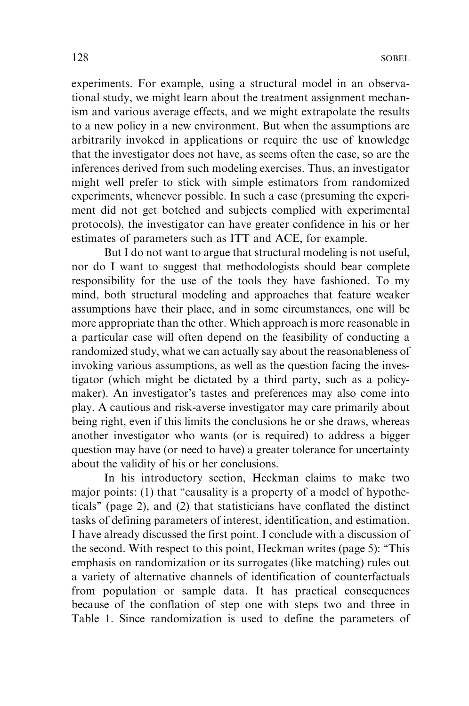experiments. For example, using a structural model in an observational study, we might learn about the treatment assignment mechanism and various average effects, and we might extrapolate the results to a new policy in a new environment. But when the assumptions are arbitrarily invoked in applications or require the use of knowledge that the investigator does not have, as seems often the case, so are the inferences derived from such modeling exercises. Thus, an investigator might well prefer to stick with simple estimators from randomized experiments, whenever possible. In such a case (presuming the experiment did not get botched and subjects complied with experimental protocols), the investigator can have greater confidence in his or her estimates of parameters such as ITT and ACE, for example.

But I do not want to argue that structural modeling is not useful, nor do I want to suggest that methodologists should bear complete responsibility for the use of the tools they have fashioned. To my mind, both structural modeling and approaches that feature weaker assumptions have their place, and in some circumstances, one will be more appropriate than the other. Which approach is more reasonable in a particular case will often depend on the feasibility of conducting a randomized study, what we can actually say about the reasonableness of invoking various assumptions, as well as the question facing the investigator (which might be dictated by a third party, such as a policymaker). An investigator's tastes and preferences may also come into play. A cautious and risk-averse investigator may care primarily about being right, even if this limits the conclusions he or she draws, whereas another investigator who wants (or is required) to address a bigger question may have (or need to have) a greater tolerance for uncertainty about the validity of his or her conclusions.

In his introductory section, Heckman claims to make two major points: (1) that "causality is a property of a model of hypotheticals'' (page 2), and (2) that statisticians have conflated the distinct tasks of defining parameters of interest, identification, and estimation. I have already discussed the first point. I conclude with a discussion of the second. With respect to this point, Heckman writes (page 5): ''This emphasis on randomization or its surrogates (like matching) rules out a variety of alternative channels of identification of counterfactuals from population or sample data. It has practical consequences because of the conflation of step one with steps two and three in Table 1. Since randomization is used to define the parameters of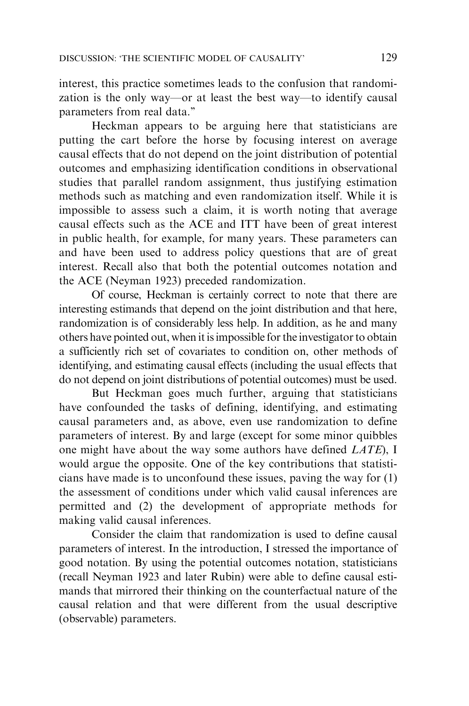interest, this practice sometimes leads to the confusion that randomization is the only way—or at least the best way—to identify causal parameters from real data.''

Heckman appears to be arguing here that statisticians are putting the cart before the horse by focusing interest on average causal effects that do not depend on the joint distribution of potential outcomes and emphasizing identification conditions in observational studies that parallel random assignment, thus justifying estimation methods such as matching and even randomization itself. While it is impossible to assess such a claim, it is worth noting that average causal effects such as the ACE and ITT have been of great interest in public health, for example, for many years. These parameters can and have been used to address policy questions that are of great interest. Recall also that both the potential outcomes notation and the ACE (Neyman 1923) preceded randomization.

Of course, Heckman is certainly correct to note that there are interesting estimands that depend on the joint distribution and that here, randomization is of considerably less help. In addition, as he and many others have pointed out, when it is impossible for the investigator to obtain a sufficiently rich set of covariates to condition on, other methods of identifying, and estimating causal effects (including the usual effects that do not depend on joint distributions of potential outcomes) must be used.

But Heckman goes much further, arguing that statisticians have confounded the tasks of defining, identifying, and estimating causal parameters and, as above, even use randomization to define parameters of interest. By and large (except for some minor quibbles one might have about the way some authors have defined  $LATE$ ), I would argue the opposite. One of the key contributions that statisticians have made is to unconfound these issues, paving the way for (1) the assessment of conditions under which valid causal inferences are permitted and (2) the development of appropriate methods for making valid causal inferences.

Consider the claim that randomization is used to define causal parameters of interest. In the introduction, I stressed the importance of good notation. By using the potential outcomes notation, statisticians (recall Neyman 1923 and later Rubin) were able to define causal estimands that mirrored their thinking on the counterfactual nature of the causal relation and that were different from the usual descriptive (observable) parameters.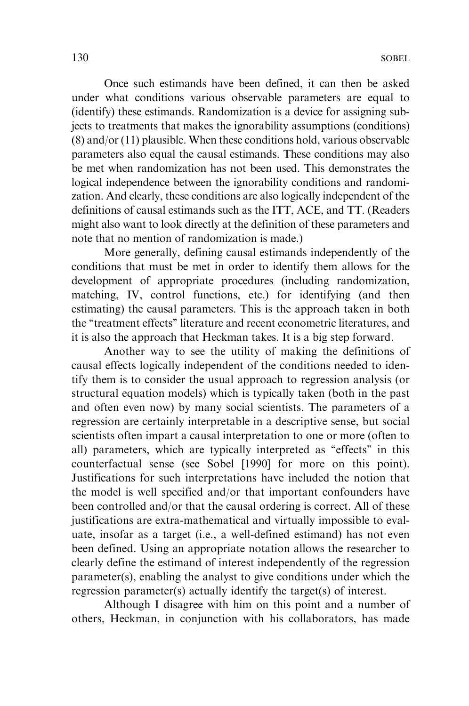Once such estimands have been defined, it can then be asked under what conditions various observable parameters are equal to (identify) these estimands. Randomization is a device for assigning subjects to treatments that makes the ignorability assumptions (conditions) (8) and/or (11) plausible. When these conditions hold, various observable parameters also equal the causal estimands. These conditions may also be met when randomization has not been used. This demonstrates the logical independence between the ignorability conditions and randomization. And clearly, these conditions are also logically independent of the definitions of causal estimands such as the ITT, ACE, and TT. (Readers might also want to look directly at the definition of these parameters and note that no mention of randomization is made.)

More generally, defining causal estimands independently of the conditions that must be met in order to identify them allows for the development of appropriate procedures (including randomization, matching, IV, control functions, etc.) for identifying (and then estimating) the causal parameters. This is the approach taken in both the ''treatment effects'' literature and recent econometric literatures, and it is also the approach that Heckman takes. It is a big step forward.

Another way to see the utility of making the definitions of causal effects logically independent of the conditions needed to identify them is to consider the usual approach to regression analysis (or structural equation models) which is typically taken (both in the past and often even now) by many social scientists. The parameters of a regression are certainly interpretable in a descriptive sense, but social scientists often impart a causal interpretation to one or more (often to all) parameters, which are typically interpreted as ''effects'' in this counterfactual sense (see Sobel [1990] for more on this point). Justifications for such interpretations have included the notion that the model is well specified and/or that important confounders have been controlled and/or that the causal ordering is correct. All of these justifications are extra-mathematical and virtually impossible to evaluate, insofar as a target (i.e., a well-defined estimand) has not even been defined. Using an appropriate notation allows the researcher to clearly define the estimand of interest independently of the regression parameter(s), enabling the analyst to give conditions under which the regression parameter(s) actually identify the target(s) of interest.

Although I disagree with him on this point and a number of others, Heckman, in conjunction with his collaborators, has made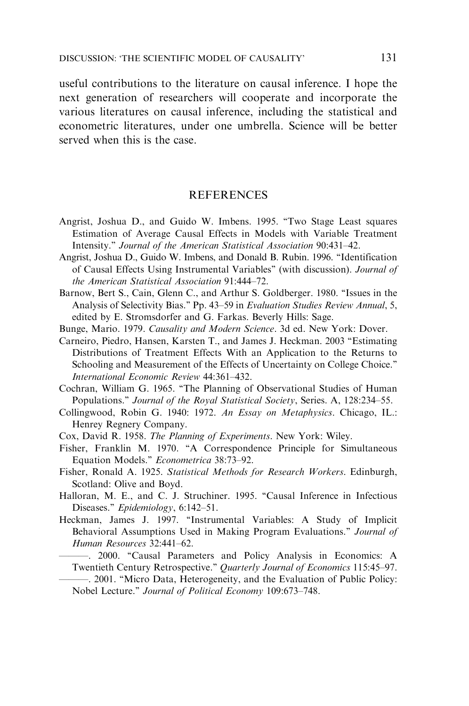useful contributions to the literature on causal inference. I hope the next generation of researchers will cooperate and incorporate the various literatures on causal inference, including the statistical and econometric literatures, under one umbrella. Science will be better served when this is the case.

#### REFERENCES

- Angrist, Joshua D., and Guido W. Imbens. 1995. "Two Stage Least squares Estimation of Average Causal Effects in Models with Variable Treatment Intensity.'' Journal of the American Statistical Association 90:431–42.
- Angrist, Joshua D., Guido W. Imbens, and Donald B. Rubin. 1996. ''Identification of Causal Effects Using Instrumental Variables'' (with discussion). Journal of the American Statistical Association 91:444–72.
- Barnow, Bert S., Cain, Glenn C., and Arthur S. Goldberger. 1980. ''Issues in the Analysis of Selectivity Bias.'' Pp. 43–59 in Evaluation Studies Review Annual, 5, edited by E. Stromsdorfer and G. Farkas. Beverly Hills: Sage.
- Bunge, Mario. 1979. Causality and Modern Science. 3d ed. New York: Dover.
- Carneiro, Piedro, Hansen, Karsten T., and James J. Heckman. 2003 "Estimating Distributions of Treatment Effects With an Application to the Returns to Schooling and Measurement of the Effects of Uncertainty on College Choice.'' International Economic Review 44:361–432.
- Cochran, William G. 1965. ''The Planning of Observational Studies of Human Populations.'' Journal of the Royal Statistical Society, Series. A, 128:234–55.
- Collingwood, Robin G. 1940: 1972. An Essay on Metaphysics. Chicago, IL.: Henrey Regnery Company.
- Cox, David R. 1958. The Planning of Experiments. New York: Wiley.
- Fisher, Franklin M. 1970. "A Correspondence Principle for Simultaneous Equation Models.'' Econometrica 38:73–92.
- Fisher, Ronald A. 1925. Statistical Methods for Research Workers. Edinburgh, Scotland: Olive and Boyd.
- Halloran, M. E., and C. J. Struchiner. 1995. "Causal Inference in Infectious Diseases." Epidemiology, 6:142–51.
- Heckman, James J. 1997. ''Instrumental Variables: A Study of Implicit Behavioral Assumptions Used in Making Program Evaluations.'' Journal of Human Resources 32:441–62.

———. 2000. ''Causal Parameters and Policy Analysis in Economics: A Twentieth Century Retrospective.'' Quarterly Journal of Economics 115:45–97.

———. 2001. ''Micro Data, Heterogeneity, and the Evaluation of Public Policy: Nobel Lecture.'' Journal of Political Economy 109:673–748.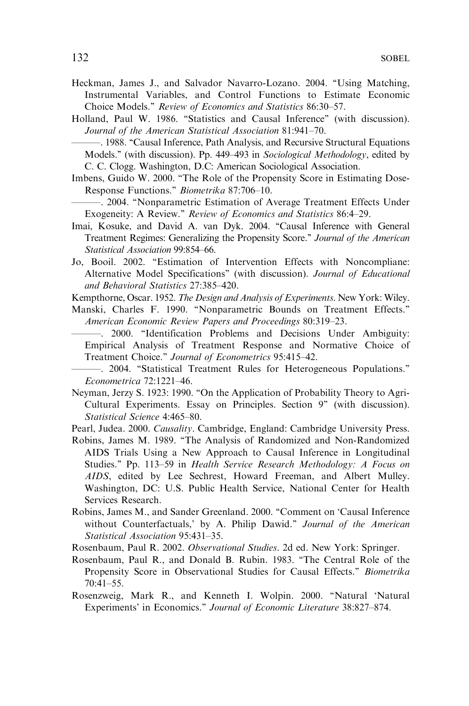- Heckman, James J., and Salvador Navarro-Lozano. 2004. "Using Matching, Instrumental Variables, and Control Functions to Estimate Economic Choice Models.'' Review of Economics and Statistics 86:30–57.
- Holland, Paul W. 1986. "Statistics and Causal Inference" (with discussion). Journal of the American Statistical Association 81:941–70.
	- ———. 1988. ''Causal Inference, Path Analysis, and Recursive Structural Equations Models." (with discussion). Pp. 449–493 in Sociological Methodology, edited by C. C. Clogg. Washington, D.C: American Sociological Association.
- Imbens, Guido W. 2000. ''The Role of the Propensity Score in Estimating Dose-Response Functions.'' Biometrika 87:706–10.
	- ———. 2004. ''Nonparametric Estimation of Average Treatment Effects Under Exogeneity: A Review.'' Review of Economics and Statistics 86:4–29.
- Imai, Kosuke, and David A. van Dyk. 2004. "Causal Inference with General Treatment Regimes: Generalizing the Propensity Score.'' Journal of the American Statistical Association 99:854–66.
- Jo, Booil. 2002. ''Estimation of Intervention Effects with Noncompliane: Alternative Model Specifications'' (with discussion). Journal of Educational and Behavioral Statistics 27:385–420.

Kempthorne, Oscar. 1952. The Design and Analysis of Experiments. New York: Wiley.

- Manski, Charles F. 1990. ''Nonparametric Bounds on Treatment Effects.'' American Economic Review Papers and Proceedings 80:319–23.
	- ———. 2000. ''Identification Problems and Decisions Under Ambiguity: Empirical Analysis of Treatment Response and Normative Choice of Treatment Choice.'' Journal of Econometrics 95:415–42.

———. 2004. ''Statistical Treatment Rules for Heterogeneous Populations.'' Econometrica 72:1221–46.

Neyman, Jerzy S. 1923: 1990. ''On the Application of Probability Theory to Agri-Cultural Experiments. Essay on Principles. Section 9'' (with discussion). Statistical Science 4:465–80.

Pearl, Judea. 2000. Causality. Cambridge, England: Cambridge University Press.

- Robins, James M. 1989. ''The Analysis of Randomized and Non-Randomized AIDS Trials Using a New Approach to Causal Inference in Longitudinal Studies.'' Pp. 113–59 in Health Service Research Methodology: A Focus on AIDS, edited by Lee Sechrest, Howard Freeman, and Albert Mulley. Washington, DC: U.S. Public Health Service, National Center for Health Services Research.
- Robins, James M., and Sander Greenland. 2000. ''Comment on 'Causal Inference without Counterfactuals,' by A. Philip Dawid." Journal of the American Statistical Association 95:431–35.
- Rosenbaum, Paul R. 2002. Observational Studies. 2d ed. New York: Springer.
- Rosenbaum, Paul R., and Donald B. Rubin. 1983. ''The Central Role of the Propensity Score in Observational Studies for Causal Effects.'' Biometrika 70:41–55.
- Rosenzweig, Mark R., and Kenneth I. Wolpin. 2000. ''Natural 'Natural Experiments' in Economics.'' Journal of Economic Literature 38:827–874.